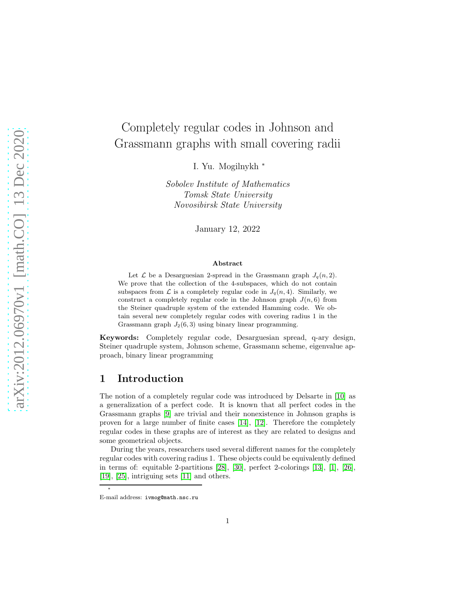# Completely regular codes in Johnson and Grassmann graphs with small covering radii

I. Yu. Mogilnykh <sup>∗</sup>

Sobolev Institute of Mathematics Tomsk State University Novosibirsk State University

January 12, 2022

#### Abstract

Let  $\mathcal L$  be a Desarguesian 2-spread in the Grassmann graph  $J_q(n, 2)$ . We prove that the collection of the 4-subspaces, which do not contain subspaces from  $\mathcal L$  is a completely regular code in  $J_q(n, 4)$ . Similarly, we construct a completely regular code in the Johnson graph  $J(n, 6)$  from the Steiner quadruple system of the extended Hamming code. We obtain several new completely regular codes with covering radius 1 in the Grassmann graph  $J_2(6, 3)$  using binary linear programming.

Keywords: Completely regular code, Desarguesian spread, q-ary design, Steiner quadruple system, Johnson scheme, Grassmann scheme, eigenvalue approach, binary linear programming

### 1 Introduction

The notion of a completely regular code was introduced by Delsarte in [\[10\]](#page-13-0) as a generalization of a perfect code. It is known that all perfect codes in the Grassmann graphs [\[9\]](#page-13-1) are trivial and their nonexistence in Johnson graphs is proven for a large number of finite cases [\[14\]](#page-13-2), [\[12\]](#page-13-3). Therefore the completely regular codes in these graphs are of interest as they are related to designs and some geometrical objects.

During the years, researchers used several different names for the completely regular codes with covering radius 1. These objects could be equivalently defined in terms of: equitable 2-partitions [\[28\]](#page-14-0), [\[30\]](#page-14-1), perfect 2-colorings [\[13\]](#page-13-4), [\[1\]](#page-12-0), [\[26\]](#page-14-2), [\[19\]](#page-13-5), [\[25\]](#page-14-3), intriguing sets [\[11\]](#page-13-6) and others.

∗

E-mail address: ivmog@math.nsc.ru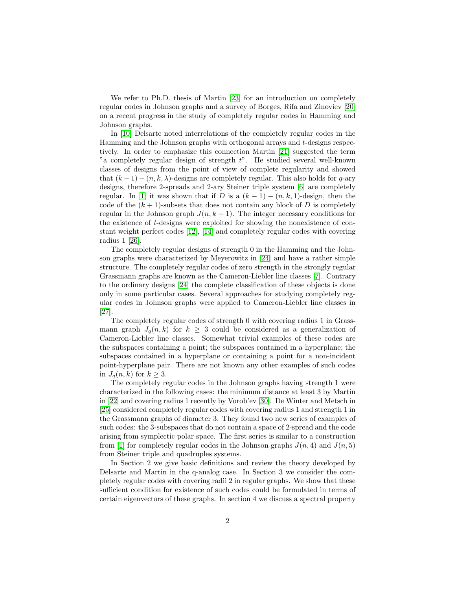We refer to Ph.D. thesis of Martin [\[23\]](#page-14-4) for an introduction on completely regular codes in Johnson graphs and a survey of Borges, Rifa and Zinoviev [\[20\]](#page-13-7) on a recent progress in the study of completely regular codes in Hamming and Johnson graphs.

In [\[10\]](#page-13-0) Delsarte noted interrelations of the completely regular codes in the Hamming and the Johnson graphs with orthogonal arrays and t-designs respectively. In order to emphasize this connection Martin [\[21\]](#page-13-8) suggested the term "a completely regular design of strength  $t$ ". He studied several well-known classes of designs from the point of view of complete regularity and showed that  $(k-1) - (n, k, \lambda)$ -designs are completely regular. This also holds for q-ary designs, therefore 2-spreads and 2-ary Steiner triple system [\[6\]](#page-13-9) are completely regular. In [\[1\]](#page-12-0) it was shown that if D is a  $(k-1) - (n, k, 1)$ -design, then the code of the  $(k + 1)$ -subsets that does not contain any block of D is completely regular in the Johnson graph  $J(n, k + 1)$ . The integer necessary conditions for the existence of t-designs were exploited for showing the nonexistence of constant weight perfect codes [\[12\]](#page-13-3), [\[14\]](#page-13-2) and completely regular codes with covering radius 1 [\[26\]](#page-14-2).

The completely regular designs of strength 0 in the Hamming and the Johnson graphs were characterized by Meyerowitz in [\[24\]](#page-14-5) and have a rather simple structure. The completely regular codes of zero strength in the strongly regular Grassmann graphs are known as the Cameron-Liebler line classes [\[7\]](#page-13-10). Contrary to the ordinary designs [\[24\]](#page-14-5) the complete classification of these objects is done only in some particular cases. Several approaches for studying completely regular codes in Johnson graphs were applied to Cameron-Liebler line classes in [\[27\]](#page-14-6).

The completely regular codes of strength 0 with covering radius 1 in Grassmann graph  $J_q(n, k)$  for  $k \geq 3$  could be considered as a generalization of Cameron-Liebler line classes. Somewhat trivial examples of these codes are the subspaces containing a point; the subspaces contained in a hyperplane; the subspaces contained in a hyperplane or containing a point for a non-incident point-hyperplane pair. There are not known any other examples of such codes in  $J_q(n, k)$  for  $k \geq 3$ .

The completely regular codes in the Johnson graphs having strength 1 were characterized in the following cases: the minimum distance at least 3 by Martin in [\[22\]](#page-14-7) and covering radius 1 recently by Vorob'ev [\[30\]](#page-14-1). De Winter and Metsch in [\[25\]](#page-14-3) considered completely regular codes with covering radius 1 and strength 1 in the Grassmann graphs of diameter 3. They found two new series of examples of such codes: the 3-subspaces that do not contain a space of 2-spread and the code arising from symplectic polar space. The first series is similar to a construction from [\[1\]](#page-12-0) for completely regular codes in the Johnson graphs  $J(n, 4)$  and  $J(n, 5)$ from Steiner triple and quadruples systems.

In Section 2 we give basic definitions and review the theory developed by Delsarte and Martin in the q-analog case. In Section 3 we consider the completely regular codes with covering radii 2 in regular graphs. We show that these sufficient condition for existence of such codes could be formulated in terms of certain eigenvectors of these graphs. In section 4 we discuss a spectral property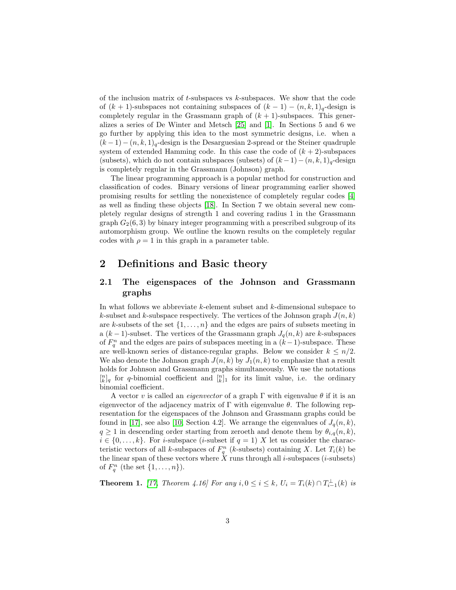of the inclusion matrix of  $t$ -subspaces vs  $k$ -subspaces. We show that the code of  $(k + 1)$ -subspaces not containing subspaces of  $(k - 1) - (n, k, 1)<sub>q</sub>$ -design is completely regular in the Grassmann graph of  $(k + 1)$ -subspaces. This generalizes a series of De Winter and Metsch [\[25\]](#page-14-3) and [\[1\]](#page-12-0). In Sections 5 and 6 we go further by applying this idea to the most symmetric designs, i.e. when a  $(k-1)-(n, k, 1)<sub>q</sub>$ -design is the Desarguesian 2-spread or the Steiner quadruple system of extended Hamming code. In this case the code of  $(k + 2)$ -subspaces (subsets), which do not contain subspaces (subsets) of  $(k-1)-(n, k, 1)<sub>q</sub>$ -design is completely regular in the Grassmann (Johnson) graph.

The linear programming approach is a popular method for construction and classification of codes. Binary versions of linear programming earlier showed promising results for settling the nonexistence of completely regular codes [\[4\]](#page-12-1) as well as finding these objects [\[18\]](#page-13-11). In Section 7 we obtain several new completely regular designs of strength 1 and covering radius 1 in the Grassmann graph  $G_2(6,3)$  by binary integer programming with a prescribed subgroup of its automorphism group. We outline the known results on the completely regular codes with  $\rho = 1$  in this graph in a parameter table.

#### 2 Definitions and Basic theory

#### <span id="page-2-0"></span>2.1 The eigenspaces of the Johnson and Grassmann graphs

In what follows we abbreviate k-element subset and k-dimensional subspace to k-subset and k-subspace respectively. The vertices of the Johnson graph  $J(n, k)$ are k-subsets of the set  $\{1, \ldots, n\}$  and the edges are pairs of subsets meeting in a  $(k-1)$ -subset. The vertices of the Grassmann graph  $J_q(n,k)$  are k-subspaces of  $F_q^n$  and the edges are pairs of subspaces meeting in a  $(k-1)$ -subspace. These are well-known series of distance-regular graphs. Below we consider  $k \leq n/2$ . We also denote the Johnson graph  $J(n,k)$  by  $J_1(n,k)$  to emphasize that a result holds for Johnson and Grassmann graphs simultaneously. We use the notations  $\begin{bmatrix} n \\ k \end{bmatrix}$  for q-binomial coefficient and  $\begin{bmatrix} n \\ k \end{bmatrix}$  for its limit value, i.e. the ordinary binomial coefficient.

A vector v is called an *eigenvector* of a graph  $\Gamma$  with eigenvalue  $\theta$  if it is an eigenvector of the adjacency matrix of  $\Gamma$  with eigenvalue  $\theta$ . The following representation for the eigenspaces of the Johnson and Grassmann graphs could be found in [\[17\]](#page-13-12), see also [\[10,](#page-13-0) Section 4.2]. We arrange the eigenvalues of  $J_q(n, k)$ ,  $q \geq 1$  in descending order starting from zeroeth and denote them by  $\theta_{i,q}(n, k)$ ,  $i \in \{0, \ldots, k\}$ . For *i*-subspace (*i*-subset if  $q = 1$ ) X let us consider the characteristic vectors of all k-subspaces of  $F_q^n$  (k-subsets) containing X. Let  $T_i(k)$  be the linear span of these vectors where  $\tilde{X}$  runs through all *i*-subspaces (*i*-subsets) of  $F_q^n$  (the set  $\{1,\ldots,n\}$ ).

**Theorem 1.** [\[17,](#page-13-12) Theorem 4.16] For any  $i, 0 \le i \le k$ ,  $U_i = T_i(k) \cap T_{i-1}^{\perp}(k)$  is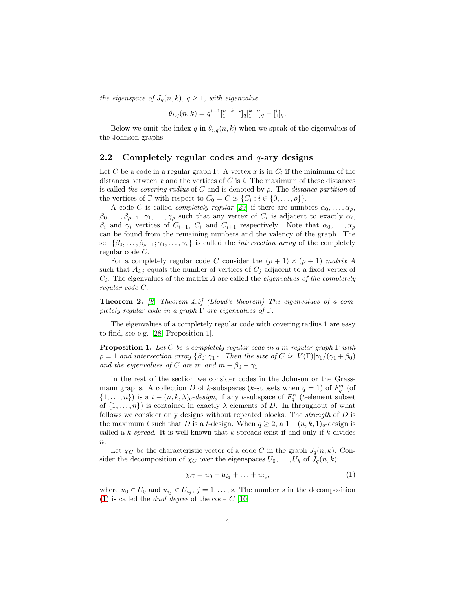*the eigenspace of*  $J_q(n, k)$ ,  $q \geq 1$ , with eigenvalue

$$
\theta_{i,q}(n,k) = q^{i+1} \left[ \begin{matrix} n-k-i \\ 1 \end{matrix} \right]_q \left[ \begin{matrix} k-i \\ 1 \end{matrix} \right]_q - \left[ \begin{matrix} i \\ 1 \end{matrix} \right]_q.
$$

Below we omit the index q in  $\theta_{i,q}(n,k)$  when we speak of the eigenvalues of the Johnson graphs.

#### 2.2 Completely regular codes and  $q$ -ary designs

Let C be a code in a regular graph  $\Gamma$ . A vertex x is in  $C_i$  if the minimum of the distances between  $x$  and the vertices of  $C$  is  $i$ . The maximum of these distances is called *the covering radius* of C and is denoted by ρ. The *distance partition* of the vertices of  $\Gamma$  with respect to  $C_0 = C$  is  $\{C_i : i \in \{0, \ldots, \rho\}\}.$ 

A code C is called *completely regular* [\[29\]](#page-14-8) if there are numbers  $\alpha_0, \ldots, \alpha_p$ ,  $\beta_0,\ldots,\beta_{\rho-1},\gamma_1,\ldots,\gamma_\rho$  such that any vertex of  $C_i$  is adjacent to exactly  $\alpha_i$ ,  $\beta_i$  and  $\gamma_i$  vertices of  $C_{i-1}$ ,  $C_i$  and  $C_{i+1}$  respectively. Note that  $\alpha_0, \ldots, \alpha_\rho$ can be found from the remaining numbers and the valency of the graph. The set  $\{\beta_0, \ldots, \beta_{\rho-1}; \gamma_1, \ldots, \gamma_{\rho}\}\$ is called the *intersection array* of the completely regular code C.

For a completely regular code C consider the  $(\rho + 1) \times (\rho + 1)$  matrix A such that  $A_{i,j}$  equals the number of vertices of  $C_j$  adjacent to a fixed vertex of Ci . The eigenvalues of the matrix A are called the *eigenvalues of the completely regular code* C.

Theorem 2. *[\[8,](#page-13-13) Theorem 4.5] (Lloyd's theorem) The eigenvalues of a completely regular code in a graph* Γ *are eigenvalues of* Γ*.*

The eigenvalues of a completely regular code with covering radius 1 are easy to find, see e.g. [\[28,](#page-14-0) Proposition 1].

<span id="page-3-1"></span>Proposition 1. *Let* C *be a completely regular code in a* m*-regular graph* Γ *with*  $\rho = 1$  *and intersection array*  $\{\beta_0; \gamma_1\}$ *. Then the size of* C *is*  $|V(\Gamma)|\gamma_1/(\gamma_1 + \beta_0)$ *and the eigenvalues of* C *are* m *and*  $m - \beta_0 - \gamma_1$ .

In the rest of the section we consider codes in the Johnson or the Grassmann graphs. A collection D of k-subspaces (k-subsets when  $q = 1$ ) of  $F_q^n$  (of  $\{1,\ldots,n\}$  is a  $t-(n,k,\lambda)_q$ -design, if any t-subspace of  $F_q^n$  (t-element subset of  $\{1,\ldots,n\}$  is contained in exactly  $\lambda$  elements of D. In throughout of what follows we consider only designs without repeated blocks. The *strength* of D is the maximum t such that D is a t-design. When  $q \geq 2$ , a  $1-(n, k, 1)_q$ -design is called a k-*spread*. It is well-known that k-spreads exist if and only if k divides  $n$ .

Let  $\chi_C$  be the characteristic vector of a code C in the graph  $J_q(n, k)$ . Consider the decomposition of  $\chi_C$  over the eigenspaces  $U_0, \ldots, U_k$  of  $J_q(n, k)$ :

<span id="page-3-0"></span>
$$
\chi_C = u_0 + u_{i_1} + \ldots + u_{i_s},\tag{1}
$$

where  $u_0 \in U_0$  and  $u_{i_j} \in U_{i_j}$ ,  $j = 1, \ldots, s$ . The number s in the decomposition [\(1\)](#page-3-0) is called the *dual degree* of the code C [\[10\]](#page-13-0).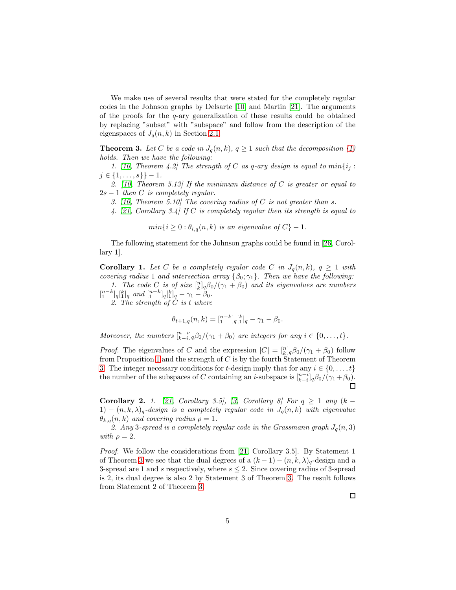We make use of several results that were stated for the completely regular codes in the Johnson graphs by Delsarte [\[10\]](#page-13-0) and Martin [\[21\]](#page-13-8). The arguments of the proofs for the  $q$ -ary generalization of these results could be obtained by replacing "subset" with "subspace" and follow from the description of the eigenspaces of  $J_q(n, k)$  in Section [2.1.](#page-2-0)

<span id="page-4-0"></span>**Theorem 3.** Let C be a code in  $J_q(n,k)$ ,  $q \geq 1$  such that the decomposition [\(1\)](#page-3-0) *holds. Then we have the following:*

1. [\[10,](#page-13-0) Theorem 4.2] The strength of C as q-ary design is equal to  $min\{i_j :$  $j \in \{1, \ldots, s\}\}-1$ .

*2. [\[10,](#page-13-0) Theorem 5.13] If the minimum distance of* C *is greater or equal to* 2s − 1 *then* C *is completely regular.*

*3. [\[10,](#page-13-0) Theorem 5.10] The covering radius of* C *is not greater than* s*.*

*4. [\[21,](#page-13-8) Corollary 3.4] If* C *is completely regular then its strength is equal to*

 $min\{i \geq 0 : \theta_{i,q}(n,k)$  *is an eigenvalue of*  $C\}$  - 1.

The following statement for the Johnson graphs could be found in [\[26,](#page-14-2) Corollary 1].

<span id="page-4-2"></span>**Corollary 1.** Let C be a completely regular code C in  $J_q(n,k)$ ,  $q \geq 1$  with *covering radius* 1 *and intersection array*  $\{\beta_0; \gamma_1\}$ . Then we have the following:

1. The code C is of size  $\binom{n}{k}q\beta_0/(\gamma_1+\beta_0)$  and its eigenvalues are numbers  $\binom{n-k}{1}$ <sub>q</sub> $\binom{k}{1}$ <sub>q</sub> and  $\binom{n-k}{1}$ <sub>q</sub> $\binom{k}{1}$ <sub>q</sub>  $-\gamma_1 - \beta_0$ .

*2. The strength of* C *is* t *where*

$$
\theta_{t+1,q}(n,k) = [_{1}^{n-k}]_{q} [_{1}^{k}]_{q} - \gamma_{1} - \beta_{0}.
$$

*Moreover, the numbers*  $\binom{n-i}{k-i}q\beta_0/(\gamma_1+\beta_0)$  *are integers for any*  $i \in \{0, \ldots, t\}.$ 

*Proof.* The eigenvalues of C and the expression  $|C| = \binom{n}{k} q \beta_0/(\gamma_1 + \beta_0)$  follow from Proposition [1](#page-3-1) and the strength of  $C$  is by the fourth Statement of Theorem [3.](#page-4-0) The integer necessary conditions for t-design imply that for any  $i \in \{0, \ldots, t\}$ the number of the subspaces of C containing an *i*-subspace is  $\frac{[n-i]}{k-i}q\beta_0/(\gamma_1+\beta_0)$ .  $\Box$ 

<span id="page-4-1"></span>Corollary 2. 1. [\[21,](#page-13-8) Corollary 3.5], [\[3,](#page-12-2) Corollary 8] For  $q \ge 1$  any  $(k -$ 1)  $-(n, k, \lambda)_q$ -design is a completely regular code in  $J_q(n, k)$  with eigenvalue  $\theta_{k,q}(n, k)$  *and covering radius*  $\rho = 1$ *.* 

2. Any 3-spread is a completely regular code in the Grassmann graph  $J_q(n, 3)$ *with*  $\rho = 2$ *.* 

*Proof.* We follow the considerations from [\[21,](#page-13-8) Corollary 3.5]. By Statement 1 of Theorem [3](#page-4-0) we see that the dual degrees of a  $(k-1) - (n, k, \lambda)$ <sub>q</sub>-design and a 3-spread are 1 and s respectively, where  $s \leq 2$ . Since covering radius of 3-spread is 2, its dual degree is also 2 by Statement 3 of Theorem [3.](#page-4-0) The result follows from Statement 2 of Theorem [3.](#page-4-0)

 $\Box$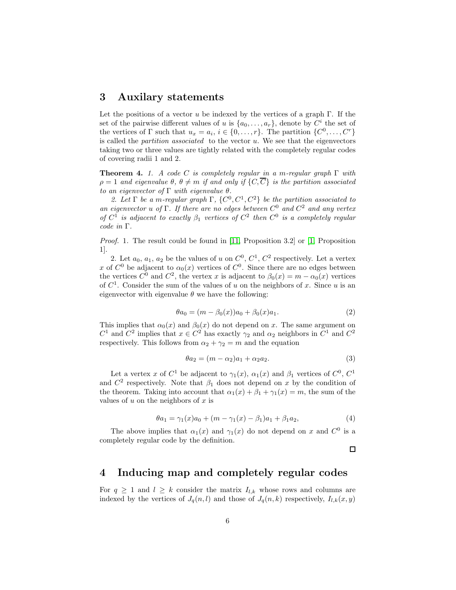#### 3 Auxilary statements

Let the positions of a vector u be indexed by the vertices of a graph  $\Gamma$ . If the set of the pairwise different values of u is  $\{a_0, \ldots, a_r\}$ , denote by  $C^i$  the set of the vertices of  $\Gamma$  such that  $u_x = a_i, i \in \{0, ..., r\}$ . The partition  $\{C^0, ..., C^r\}$ is called the *partition associated* to the vector u. We see that the eigenvectors taking two or three values are tightly related with the completely regular codes of covering radii 1 and 2.

<span id="page-5-0"></span>Theorem 4. *1. A code* C *is completely regular in a* m*-regular graph* Γ *with*  $\rho = 1$  and eigenvalue  $\theta$ ,  $\theta \neq m$  *if and only if*  $\{C, \overline{C}\}\$ is the partition associated *to an eigenvector of* Γ *with eigenvalue* θ*.*

2. Let  $\Gamma$  be a m-regular graph  $\Gamma$ ,  $\{C^0, C^1, C^2\}$  be the partition associated to *an eigenvector* u *of* Γ*. If there are no edges between* C <sup>0</sup> *and* C <sup>2</sup> *and any vertex of*  $C^1$  *is adjacent to exactly*  $\beta_1$  *vertices of*  $C^2$  *then*  $C^0$  *is a completely regular code in* Γ*.*

*Proof.* 1. The result could be found in [\[11,](#page-13-6) Proposition 3.2] or [\[1,](#page-12-0) Proposition 1].

2. Let  $a_0, a_1, a_2$  be the values of u on  $C^0, C^1, C^2$  respectively. Let a vertex x of  $C^0$  be adjacent to  $\alpha_0(x)$  vertices of  $C^0$ . Since there are no edges between the vertices  $C^0$  and  $C^2$ , the vertex x is adjacent to  $\beta_0(x) = m - \alpha_0(x)$  vertices of  $C<sup>1</sup>$ . Consider the sum of the values of u on the neighbors of x. Since u is an eigenvector with eigenvalue  $\theta$  we have the following:

<span id="page-5-1"></span>
$$
\theta a_0 = (m - \beta_0(x))a_0 + \beta_0(x)a_1.
$$
 (2)

This implies that  $\alpha_0(x)$  and  $\beta_0(x)$  do not depend on x. The same argument on  $C^1$  and  $C^2$  implies that  $x \in C^2$  has exactly  $\gamma_2$  and  $\alpha_2$  neighbors in  $C^1$  and  $C^2$ respectively. This follows from  $\alpha_2 + \gamma_2 = m$  and the equation

$$
\theta a_2 = (m - \alpha_2)a_1 + \alpha_2 a_2. \tag{3}
$$

Let a vertex x of  $C^1$  be adjacent to  $\gamma_1(x)$ ,  $\alpha_1(x)$  and  $\beta_1$  vertices of  $C^0$ ,  $C^1$ and  $C^2$  respectively. Note that  $\beta_1$  does not depend on x by the condition of the theorem. Taking into account that  $\alpha_1(x) + \beta_1 + \gamma_1(x) = m$ , the sum of the values of  $u$  on the neighbors of  $x$  is

<span id="page-5-2"></span>
$$
\theta a_1 = \gamma_1(x)a_0 + (m - \gamma_1(x) - \beta_1)a_1 + \beta_1 a_2,\tag{4}
$$

The above implies that  $\alpha_1(x)$  and  $\gamma_1(x)$  do not depend on x and  $C^0$  is a completely regular code by the definition.

 $\Box$ 

#### 4 Inducing map and completely regular codes

For  $q \geq 1$  and  $l \geq k$  consider the matrix  $I_{l,k}$  whose rows and columns are indexed by the vertices of  $J_q(n, l)$  and those of  $J_q(n, k)$  respectively,  $I_{l,k}(x, y)$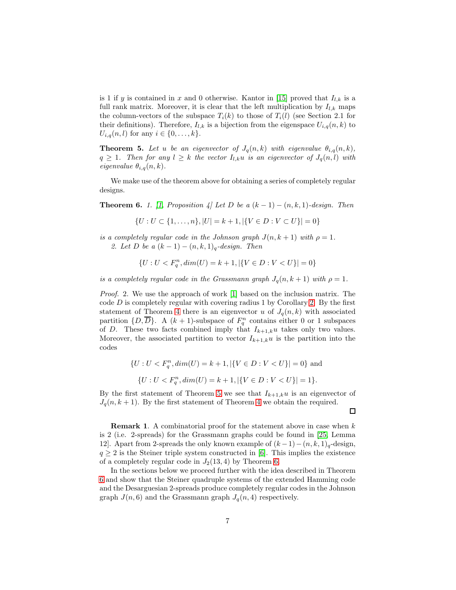is 1 if y is contained in x and 0 otherwise. Kantor in [\[15\]](#page-13-14) proved that  $I_{l,k}$  is a full rank matrix. Moreover, it is clear that the left multiplication by  $I_{l,k}$  maps the column-vectors of the subspace  $T_i(k)$  to those of  $T_i(l)$  (see Section 2.1 for their definitions). Therefore,  $I_{l,k}$  is a bijection from the eigenspace  $U_{i,q}(n,k)$  to  $U_{i,q}(n, l)$  for any  $i \in \{0, ..., k\}.$ 

<span id="page-6-0"></span>**Theorem 5.** Let *u* be an eigenvector of  $J_q(n,k)$  with eigenvalue  $\theta_{i,q}(n,k)$ ,  $q \geq 1$ *. Then for any*  $l \geq k$  *the vector*  $I_{l,k}u$  *is an eigenvector of*  $J_q(n,l)$  *with eigenvalue*  $\theta_{i,q}(n,k)$ .

We make use of the theorem above for obtaining a series of completely regular designs.

<span id="page-6-1"></span>**Theorem 6.** *1.* [\[1,](#page-12-0) Proposition 4] Let D be a  $(k-1) - (n, k, 1)$ -design. Then

$$
\{U: U \subset \{1, \ldots, n\}, |U| = k + 1, |\{V \in D : V \subset U\}| = 0\}
$$

*is a completely regular code in the Johnson graph*  $J(n, k + 1)$  *with*  $\rho = 1$ *. 2. Let* D *be a*  $(k-1) - (n, k, 1)$ <sub>*a*</sub>-design. Then

$$
\{U: U < F_q^n, dim(U) = k + 1, |\{V \in D : V < U\}| = 0\}
$$

*is a completely regular code in the Grassmann graph*  $J_q(n, k + 1)$  *with*  $\rho = 1$ *.* 

*Proof.* 2. We use the approach of work [\[1\]](#page-12-0) based on the inclusion matrix. The code  $D$  is completely regular with covering radius 1 by Corollary [2.](#page-4-1) By the first statement of Theorem [4](#page-5-0) there is an eigenvector u of  $J_q(n, k)$  with associated partition  $\{D,\overline{D}\}$ . A  $(k+1)$ -subspace of  $F_q^n$  contains either 0 or 1 subspaces of D. These two facts combined imply that  $I_{k+1,k}u$  takes only two values. Moreover, the associated partition to vector  $I_{k+1,k}u$  is the partition into the codes

$$
\{U: U < F_q^n, \dim(U) = k + 1, |\{V \in D: V < U\}| = 0\} \text{ and}
$$
\n
$$
\{U: U < F_q^n, \dim(U) = k + 1, |\{V \in D: V < U\}| = 1\}.
$$

By the first statement of Theorem [5](#page-6-0) we see that  $I_{k+1,k}u$  is an eigenvector of  $J_q(n, k+1)$ . By the first statement of Theorem [4](#page-5-0) we obtain the required.

 $\Box$ 

**Remark 1.** A combinatorial proof for the statement above in case when  $k$ is 2 (i.e. 2-spreads) for the Grassmann graphs could be found in [\[25,](#page-14-3) Lemma 12. Apart from 2-spreads the only known example of  $(k-1)-(n, k, 1)<sub>q</sub>$ -design,  $q \geq 2$  is the Steiner triple system constructed in [\[6\]](#page-13-9). This implies the existence of a completely regular code in  $J_2(13, 4)$  by Theorem [6.](#page-6-1)

In the sections below we proceed further with the idea described in Theorem [6](#page-6-1) and show that the Steiner quadruple systems of the extended Hamming code and the Desarguesian 2-spreads produce completely regular codes in the Johnson graph  $J(n, 6)$  and the Grassmann graph  $J_q(n, 4)$  respectively.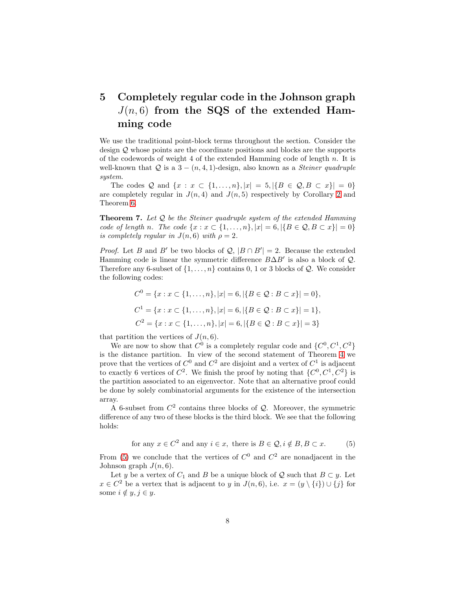## 5 Completely regular code in the Johnson graph  $J(n, 6)$  from the SQS of the extended Hamming code

We use the traditional point-block terms throughout the section. Consider the design Q whose points are the coordinate positions and blocks are the supports of the codewords of weight 4 of the extended Hamming code of length  $n$ . It is well-known that  $Q$  is a  $3 - (n, 4, 1)$ -design, also known as a *Steiner quadruple system*.

The codes Q and  $\{x : x \in \{1, ..., n\}, |x| = 5, |\{B \in \mathcal{Q}, B \subset x\}| = 0\}$ are completely regular in  $J(n, 4)$  and  $J(n, 5)$  respectively by Corollary [2](#page-4-1) and Theorem [6.](#page-6-1)

<span id="page-7-1"></span>Theorem 7. *Let* Q *be the Steiner quadruple system of the extended Hamming code of length n*. The code  $\{x : x \in \{1, ..., n\}, |x| = 6, |\{B \in \mathcal{Q}, B \subset x\}| = 0\}$ *is completely regular in*  $J(n, 6)$  *with*  $\rho = 2$ *.* 

*Proof.* Let B and B' be two blocks of  $\mathcal{Q}, |B \cap B'| = 2$ . Because the extended Hamming code is linear the symmetric difference  $B\Delta B'$  is also a block of  $\mathcal{Q}$ . Therefore any 6-subset of  $\{1, \ldots, n\}$  contains 0, 1 or 3 blocks of  $\mathcal{Q}$ . We consider the following codes:

$$
C^{0} = \{x : x \subset \{1, ..., n\}, |x| = 6, |\{B \in \mathcal{Q} : B \subset x\}| = 0\},\
$$
  

$$
C^{1} = \{x : x \subset \{1, ..., n\}, |x| = 6, |\{B \in \mathcal{Q} : B \subset x\}| = 1\},\
$$
  

$$
C^{2} = \{x : x \subset \{1, ..., n\}, |x| = 6, |\{B \in \mathcal{Q} : B \subset x\}| = 3\}
$$

that partition the vertices of  $J(n, 6)$ .

We are now to show that  $C^0$  is a completely regular code and  $\{C^0, C^1, C^2\}$ is the distance partition. In view of the second statement of Theorem [4](#page-5-0) we prove that the vertices of  $C^0$  and  $C^2$  are disjoint and a vertex of  $C^1$  is adjacent to exactly 6 vertices of  $C^2$ . We finish the proof by noting that  $\{C^0, C^1, C^2\}$  is the partition associated to an eigenvector. Note that an alternative proof could be done by solely combinatorial arguments for the existence of the intersection array.

A 6-subset from  $C^2$  contains three blocks of  $\mathcal Q$ . Moreover, the symmetric difference of any two of these blocks is the third block. We see that the following holds:

<span id="page-7-0"></span>for any 
$$
x \in C^2
$$
 and any  $i \in x$ , there is  $B \in \mathcal{Q}, i \notin B, B \subset x$ . (5)

From [\(5\)](#page-7-0) we conclude that the vertices of  $C^0$  and  $C^2$  are nonadjacent in the Johnson graph  $J(n, 6)$ .

Let y be a vertex of  $C_1$  and B be a unique block of Q such that  $B \subset y$ . Let  $x \in C^2$  be a vertex that is adjacent to y in  $J(n, 6)$ , i.e.  $x = (y \setminus \{i\}) \cup \{j\}$  for some  $i \notin y, j \in y$ .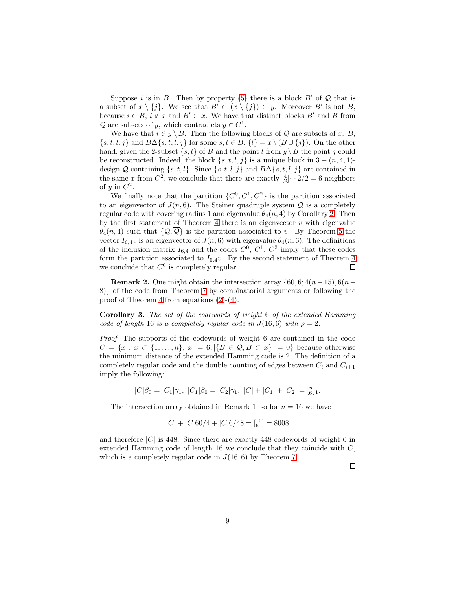Suppose i is in B. Then by property [\(5\)](#page-7-0) there is a block  $B'$  of  $\mathcal Q$  that is a subset of  $x \setminus \{j\}$ . We see that  $B' \subset (x \setminus \{j\}) \subset y$ . Moreover B' is not B, because  $i \in B$ ,  $i \notin x$  and  $B' \subset x$ . We have that distinct blocks B' and B from  $Q$  are subsets of y, which contradicts  $y \in C^1$ .

We have that  $i \in y \setminus B$ . Then the following blocks of Q are subsets of x: B,  $\{s, t, l, j\}$  and  $B\Delta\{s, t, l, j\}$  for some  $s, t \in B$ ,  $\{l\} = x \setminus (B \cup \{j\})$ . On the other hand, given the 2-subset  $\{s, t\}$  of B and the point l from  $y \setminus B$  the point j could be reconstructed. Indeed, the block  $\{s, t, l, j\}$  is a unique block in 3 –  $(n, 4, 1)$ design Q containing  $\{s, t, l\}$ . Since  $\{s, t, l, j\}$  and  $B\Delta\{s, t, l, j\}$  are contained in the same x from  $C^2$ , we conclude that there are exactly  $\frac{4}{2}$   $\cdot$  2/2 = 6 neighbors of y in  $C^2$ .

We finally note that the partition  $\{C^0, C^1, C^2\}$  is the partition associated to an eigenvector of  $J(n, 6)$ . The Steiner quadruple system  $\mathcal Q$  is a completely regular code with covering radius 1 and eigenvalue  $\theta_4(n, 4)$  by Corollary [2.](#page-4-1) Then by the first statement of Theorem [4](#page-5-0) there is an eigenvector  $v$  with eigenvalue  $\theta_4(n, 4)$  such that  $\{Q, \overline{Q}\}\$ is the partition associated to v. By Theorem [5](#page-6-0) the vector  $I_{6,4}v$  is an eigenvector of  $J(n,6)$  with eigenvalue  $\theta_4(n,6)$ . The definitions of the inclusion matrix  $I_{6,4}$  and the codes  $C^0$ ,  $C^1$ ,  $C^2$  imply that these codes form the partition associated to  $I_{6,4}v$ . By the second statement of Theorem [4](#page-5-0) we conclude that  $C^0$  is completely regular. □

**Remark 2.** One might obtain the intersection array  $\{60, 6; 4(n-15), 6(n-15)\}$ 8)} of the code from Theorem [7](#page-7-1) by combinatorial arguments or following the proof of Theorem [4](#page-5-0) from equations [\(2\)](#page-5-1)-[\(4\)](#page-5-2).

Corollary 3. *The set of the codewords of weight* 6 *of the extended Hamming code of length* 16 *is a completely regular code in*  $J(16,6)$  *with*  $\rho = 2$ *.* 

*Proof.* The supports of the codewords of weight 6 are contained in the code  $C = \{x : x \in \{1, ..., n\}, |x| = 6, |\{B \in \mathcal{Q}, B \subset x\}| = 0\}$  because otherwise the minimum distance of the extended Hamming code is 2. The definition of a completely regular code and the double counting of edges between  $C_i$  and  $C_{i+1}$ imply the following:

$$
|C|\beta_0 = |C_1|\gamma_1, |C_1|\beta_0 = |C_2|\gamma_1, |C| + |C_1| + |C_2| = \binom{n}{6}.
$$

The intersection array obtained in Remark 1, so for  $n = 16$  we have

$$
|C| + |C|60/4 + |C|6/48 = \binom{16}{6} = 8008
$$

and therefore  $|C|$  is 448. Since there are exactly 448 codewords of weight 6 in extended Hamming code of length 16 we conclude that they coincide with C, which is a completely regular code in  $J(16, 6)$  by Theorem [7.](#page-7-1)

 $\Box$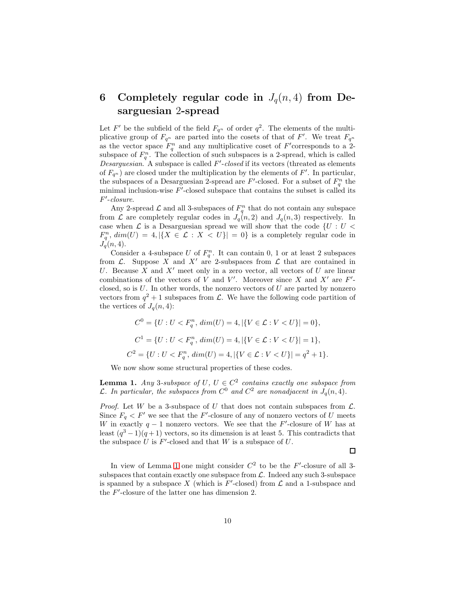## 6 Completely regular code in  $J_q(n, 4)$  from Desarguesian 2-spread

Let F' be the subfield of the field  $F_{q^n}$  of order  $q^2$ . The elements of the multiplicative group of  $F_{q^n}$  are parted into the cosets of that of F'. We treat  $F_{q^n}$ as the vector space  $F_q^n$  and any multiplicative coset of  $F'$ corresponds to a 2subspace of  $F_q^n$ . The collection of such subspaces is a 2-spread, which is called *Desarguesian*. A subspace is called F ′ -*closed* if its vectors (threated as elements of  $F_{q^n}$ ) are closed under the multiplication by the elements of  $F'$ . In particular, the subspaces of a Desarguesian 2-spread are  $F'$ -closed. For a subset of  $F_q^n$  the minimal inclusion-wise  $F'$ -closed subspace that contains the subset is called its F ′ -*closure*.

Any 2-spread  $\mathcal L$  and all 3-subspaces of  $F_q^n$  that do not contain any subspace from  $\mathcal L$  are completely regular codes in  $J_q(n, 2)$  and  $J_q(n, 3)$  respectively. In case when  $\mathcal L$  is a Desarguesian spread we will show that the code  $\{U: U \leq \mathcal D\}$  $F_q^n$ ,  $dim(U) = 4$ ,  $|\{X \in \mathcal{L} : X < U\}| = 0\}$  is a completely regular code in  $J_q(n, 4)$ .

Consider a 4-subspace U of  $F_q^n$ . It can contain 0, 1 or at least 2 subspaces from  $\mathcal{L}$ . Suppose X and X' are 2-subspaces from  $\mathcal{L}$  that are contained in U. Because X and  $X'$  meet only in a zero vector, all vectors of U are linear combinations of the vectors of V and V'. Moreover since X and X' are  $F'$ closed, so is  $U$ . In other words, the nonzero vectors of  $U$  are parted by nonzero vectors from  $q^2 + 1$  subspaces from  $\mathcal{L}$ . We have the following code partition of the vertices of  $J_q(n, 4)$ :

$$
C^{0} = \{U : U < F_q^n, \dim(U) = 4, |\{V \in \mathcal{L} : V < U\}| = 0\},\
$$
\n
$$
C^{1} = \{U : U < F_q^n, \dim(U) = 4, |\{V \in \mathcal{L} : V < U\}| = 1\},\
$$
\n
$$
C^{2} = \{U : U < F_q^n, \dim(U) = 4, |\{V \in \mathcal{L} : V < U\}| = q^2 + 1\}.
$$

We now show some structural properties of these codes.

<span id="page-9-0"></span>**Lemma 1.** Any 3-subspace of U,  $U \in C^2$  contains exactly one subspace from  $\mathcal{L}$ . In particular, the subspaces from  $C^0$  and  $C^2$  are nonadjacent in  $J_q(n, 4)$ .

*Proof.* Let W be a 3-subspace of U that does not contain subspaces from  $\mathcal{L}$ . Since  $F_q < F'$  we see that the F'-closure of any of nonzero vectors of U meets W in exactly  $q-1$  nonzero vectors. We see that the F'-closure of W has at least  $(q^3-1)(q+1)$  vectors, so its dimension is at least 5. This contradicts that the subspace  $U$  is  $F'$ -closed and that  $W$  is a subspace of  $U$ .

 $\Box$ 

In view of Lemma [1](#page-9-0) one might consider  $C^2$  to be the  $F'$ -closure of all 3subspaces that contain exactly one subspace from  $\mathcal{L}$ . Indeed any such 3-subspace is spanned by a subspace X (which is  $F'$ -closed) from  $\mathcal L$  and a 1-subspace and the  $F'$ -closure of the latter one has dimension 2.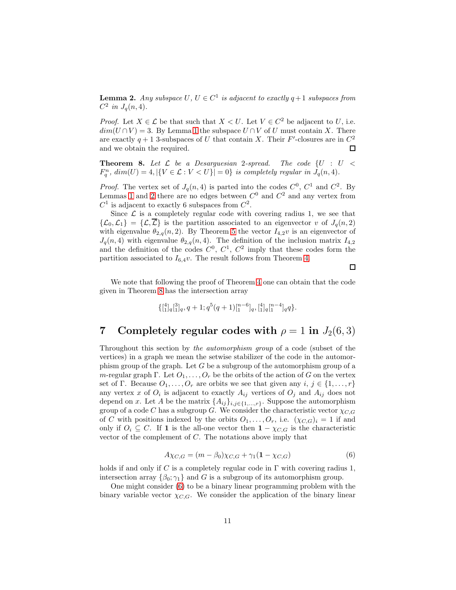<span id="page-10-0"></span>**Lemma 2.** Any subspace  $U, U \in C^1$  is adjacent to exactly  $q+1$  subspaces from  $C^2$  in  $J_q(n, 4)$ .

*Proof.* Let  $X \in \mathcal{L}$  be that such that  $X \leq U$ . Let  $V \in C^2$  be adjacent to U, i.e.  $dim(U \cap V) = 3$ . By Lemma [1](#page-9-0) the subspace  $U \cap V$  of U must contain X. There are exactly  $q + 1$  3-subspaces of U that contain X. Their F'-closures are in  $C^2$ and we obtain the required. 口

<span id="page-10-1"></span>Theorem 8. *Let* L *be a Desarguesian* 2*-spread. The code* {U : U <  $F_q^n$ ,  $dim(U) = 4$ ,  $|\{V \in \mathcal{L} : V < U\}| = 0\}$  *is completely regular in*  $J_q(n, 4)$ *.* 

*Proof.* The vertex set of  $J_q(n, 4)$  is parted into the codes  $C^0$ ,  $C^1$  and  $C^2$ . By Lemmas [1](#page-9-0) and [2](#page-10-0) there are no edges between  $C^0$  and  $C^2$  and any vertex from  $C^1$  is adjacent to exactly 6 subspaces from  $C^2$ .

Since  $\mathcal L$  is a completely regular code with covering radius 1, we see that  $\{\mathcal{L}_0,\mathcal{L}_1\} = \{\mathcal{L},\overline{\mathcal{L}}\}$  is the partition associated to an eigenvector v of  $J_q(n,2)$ with eigenvalue  $\theta_{2,q}(n,2)$ . By Theorem [5](#page-6-0) the vector  $I_{4,2}v$  is an eigenvector of  $J_q(n, 4)$  with eigenvalue  $\theta_{2,q}(n, 4)$ . The definition of the inclusion matrix  $I_{4,2}$ and the definition of the codes  $C^0$ ,  $C^1$ ,  $C^2$  imply that these codes form the partition associated to  $I_{6,4}v$ . The result follows from Theorem [4.](#page-5-0)

We note that following the proof of Theorem [4](#page-5-0) one can obtain that the code given in Theorem [8](#page-10-1) has the intersection array

 $\Box$ 

$$
\{[^4_1]_q[^3_1]_q, q+1; q^5(q+1)[^{n-6}_1]_q, [^4_1]_q [^{n-4}_1]_q q\}.
$$

### 7 Completely regular codes with  $\rho = 1$  in  $J_2(6,3)$

Throughout this section by *the automorphism group* of a code (subset of the vertices) in a graph we mean the setwise stabilizer of the code in the automorphism group of the graph. Let  $G$  be a subgroup of the automorphism group of a m-regular graph Γ. Let  $O_1, \ldots, O_r$  be the orbits of the action of G on the vertex set of Γ. Because  $O_1, \ldots, O_r$  are orbits we see that given any  $i, j \in \{1, \ldots, r\}$ any vertex x of  $O_i$  is adjacent to exactly  $A_{ij}$  vertices of  $O_j$  and  $A_{ij}$  does not depend on x. Let A be the matrix  $\{A_{ij}\}_{i,j\in\{1,\ldots,r\}}$ . Suppose the automorphism group of a code C has a subgroup G. We consider the characteristic vector  $\chi_{C,G}$ of C with positions indexed by the orbits  $O_1, \ldots, O_r$ , i.e.  $(\chi_{C,G})_i = 1$  if and only if  $O_i \subseteq C$ . If 1 is the all-one vector then  $1 - \chi_{C,G}$  is the characteristic vector of the complement of C. The notations above imply that

<span id="page-10-2"></span>
$$
A\chi_{C,G} = (m - \beta_0)\chi_{C,G} + \gamma_1(1 - \chi_{C,G})
$$
\n(6)

holds if and only if C is a completely regular code in  $\Gamma$  with covering radius 1, intersection array  $\{\beta_0; \gamma_1\}$  and G is a subgroup of its automorphism group.

One might consider [\(6\)](#page-10-2) to be a binary linear programming problem with the binary variable vector  $\chi_{C,G}$ . We consider the application of the binary linear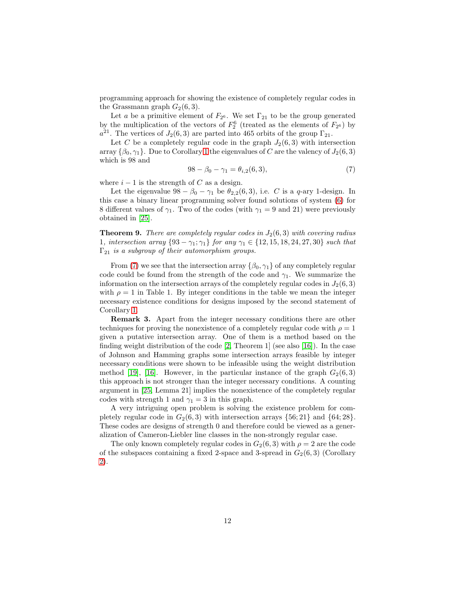programming approach for showing the existence of completely regular codes in the Grassmann graph  $G_2(6,3)$ .

Let a be a primitive element of  $F_{2^6}$ . We set  $\Gamma_{21}$  to be the group generated by the multiplication of the vectors of  $F_2^6$  (treated as the elements of  $F_{2^6}$ ) by  $a^{21}$ . The vertices of  $J_2(6,3)$  are parted into 465 orbits of the group  $\Gamma_{21}$ .

Let C be a completely regular code in the graph  $J_2(6,3)$  with intersection array  $\{\beta_0, \gamma_1\}$ . Due to Corollary [1](#page-4-2) the eigenvalues of C are the valency of  $J_2(6, 3)$ which is 98 and

<span id="page-11-0"></span>
$$
98 - \beta_0 - \gamma_1 = \theta_{i,2}(6,3),\tag{7}
$$

where  $i - 1$  is the strength of C as a design.

Let the eigenvalue  $98 - \beta_0 - \gamma_1$  be  $\theta_{2,2}(6,3)$ , i.e. C is a q-ary 1-design. In this case a binary linear programming solver found solutions of system [\(6\)](#page-10-2) for 8 different values of  $\gamma_1$ . Two of the codes (with  $\gamma_1 = 9$  and 21) were previously obtained in [\[25\]](#page-14-3).

<span id="page-11-1"></span>**Theorem 9.** *There are completely regular codes in*  $J_2(6,3)$  *with covering radius* 1*, intersection array*  $\{93 - \gamma_1; \gamma_1\}$  *for any*  $\gamma_1 \in \{12, 15, 18, 24, 27, 30\}$  *such that* Γ<sup>21</sup> *is a subgroup of their automorphism groups.*

From [\(7\)](#page-11-0) we see that the intersection array  $\{\beta_0, \gamma_1\}$  of any completely regular code could be found from the strength of the code and  $\gamma_1$ . We summarize the information on the intersection arrays of the completely regular codes in  $J_2(6,3)$ with  $\rho = 1$  in Table 1. By integer conditions in the table we mean the integer necessary existence conditions for designs imposed by the second statement of Corollary [1.](#page-4-2)

Remark 3. Apart from the integer necessary conditions there are other techniques for proving the nonexistence of a completely regular code with  $\rho = 1$ given a putative intersection array. One of them is a method based on the finding weight distribution of the code  $[2,$  Theorem 1 (see also [\[16\]](#page-13-15)). In the case of Johnson and Hamming graphs some intersection arrays feasible by integer necessary conditions were shown to be infeasible using the weight distribution method [\[19\]](#page-13-5), [\[16\]](#page-13-15). However, in the particular instance of the graph  $G_2(6,3)$ this approach is not stronger than the integer necessary conditions. A counting argument in [\[25,](#page-14-3) Lemma 21] implies the nonexistence of the completely regular codes with strength 1 and  $\gamma_1 = 3$  in this graph.

A very intriguing open problem is solving the existence problem for completely regular code in  $G_2(6,3)$  with intersection arrays  $\{56;21\}$  and  $\{64;28\}$ . These codes are designs of strength 0 and therefore could be viewed as a generalization of Cameron-Liebler line classes in the non-strongly regular case.

The only known completely regular codes in  $G_2(6, 3)$  with  $\rho = 2$  are the code of the subspaces containing a fixed 2-space and 3-spread in  $G_2(6,3)$  (Corollary [2\)](#page-4-1).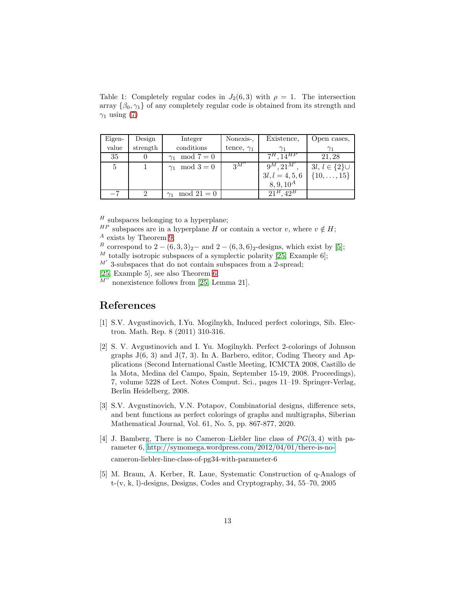Table 1: Completely regular codes in  $J_2(6,3)$  with  $\rho = 1$ . The intersection array  $\{\beta_0, \gamma_1\}$  of any completely regular code is obtained from its strength and  $\gamma_1$  using [\(7\)](#page-11-0)

| Eigen- | Design   | Integer               | Nonexis-,         | Existence,        | Open cases,            |
|--------|----------|-----------------------|-------------------|-------------------|------------------------|
| value  | strength | conditions            | tence, $\gamma_1$ |                   |                        |
| 35     |          | $mod 7 = 0$           |                   | $7^H, 14^{HP}$    | 21, 28                 |
| 5      |          | $\gamma_1 \mod 3 = 0$ | $\mathcal{R}M''$  | $9^M, 21^{M'}$ .  | $3l, l \in \{2\} \cup$ |
|        |          |                       |                   | $3l, l = 4, 5, 6$ | $\{10, \ldots, 15\}$   |
|        |          |                       |                   | $8, 9, 10^{A}$    |                        |
| $-7$   |          | $mod 21 = 0$          |                   | $21^B$ , $42^B$   |                        |

 $^H$  subspaces belonging to a hyperplane;

 $^{HP}$  subspaces are in a hyperplane H or contain a vector v, where  $v \notin H$ ;

 $^A$  exists by Theorem [9;](#page-11-1)

B correspond to  $2 - (6, 3, 3)_2$  – and  $2 - (6, 3, 6)_2$ -designs, which exist by [\[5\]](#page-12-4);  $^M$  totally isotropic subspaces of a symplectic polarity [\[25,](#page-14-3) Example 6];

 $M'$  3-subspaces that do not contain subspaces from a 2-spread;

[\[25,](#page-14-3) Example 5], see also Theorem [6;](#page-6-1)<br> $M''$  nonevistance follows from  $[0, 1]$ 

nonexistence follows from [\[25,](#page-14-3) Lemma 21].

### <span id="page-12-0"></span>References

- [1] S.V. Avgustinovich, I.Yu. Mogilnykh, Induced perfect colorings, Sib. Electron. Math. Rep. 8 (2011) 310-316.
- <span id="page-12-3"></span>[2] S. V. Avgustinovich and I. Yu. Mogilnykh. Perfect 2-colorings of Johnson graphs  $J(6, 3)$  and  $J(7, 3)$ . In A. Barbero, editor, Coding Theory and Applications (Second International Castle Meeting, ICMCTA 2008, Castillo de la Mota, Medina del Campo, Spain, September 15-19, 2008. Proceedings), 7, volume 5228 of Lect. Notes Comput. Sci., pages 11–19. Springer-Verlag, Berlin Heidelberg, 2008.
- <span id="page-12-2"></span>[3] S.V. Avgustinovich, V.N. Potapov, Combinatorial designs, difference sets, and bent functions as perfect colorings of graphs and multigraphs, Siberian Mathematical Journal, Vol. 61, No. 5, pp. 867-877, 2020.
- <span id="page-12-1"></span>[4] J. Bamberg, There is no Cameron–Liebler line class of  $PG(3, 4)$  with parameter 6, [http://symomega.wordpress.com/2012/04/01/there-is-no](http://symomega.wordpress.com/2012/04/01/there-is-no-)cameron-liebler-line-class-of-pg34-with-parameter-6
- <span id="page-12-4"></span>[5] M. Braun, A. Kerber, R. Laue, Systematic Construction of q-Analogs of t-(v, k, l)-designs, Designs, Codes and Cryptography, 34, 55–70, 2005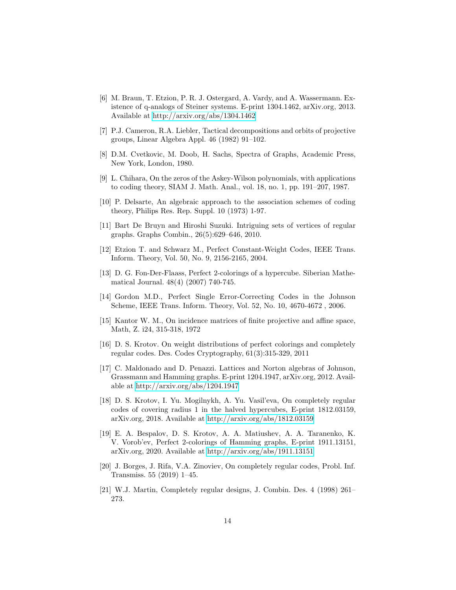- <span id="page-13-9"></span>[6] M. Braun, T. Etzion, P. R. J. Ostergard, A. Vardy, and A. Wassermann. Existence of q-analogs of Steiner systems. E-print 1304.1462, arXiv.org, 2013. Available at<http://arxiv.org/abs/1304.1462>
- <span id="page-13-10"></span>[7] P.J. Cameron, R.A. Liebler, Tactical decompositions and orbits of projective groups, Linear Algebra Appl. 46 (1982) 91–102.
- <span id="page-13-13"></span><span id="page-13-1"></span>[8] D.M. Cvetkovic, M. Doob, H. Sachs, Spectra of Graphs, Academic Press, New York, London, 1980.
- <span id="page-13-0"></span>[9] L. Chihara, On the zeros of the Askey-Wilson polynomials, with applications to coding theory, SIAM J. Math. Anal., vol. 18, no. 1, pp. 191–207, 1987.
- [10] P. Delsarte, An algebraic approach to the association schemes of coding theory, Philips Res. Rep. Suppl. 10 (1973) 1-97.
- <span id="page-13-6"></span>[11] Bart De Bruyn and Hiroshi Suzuki. Intriguing sets of vertices of regular graphs. Graphs Combin., 26(5):629–646, 2010.
- <span id="page-13-4"></span><span id="page-13-3"></span>[12] Etzion T. and Schwarz M., Perfect Constant-Weight Codes, IEEE Trans. Inform. Theory, Vol. 50, No. 9, 2156-2165, 2004.
- [13] D. G. Fon-Der-Flaass, Perfect 2-colorings of a hypercube. Siberian Mathematical Journal. 48(4) (2007) 740-745.
- <span id="page-13-2"></span>[14] Gordon M.D., Perfect Single Error-Correcting Codes in the Johnson Scheme, IEEE Trans. Inform. Theory, Vol. 52, No. 10, 4670-4672 , 2006.
- <span id="page-13-14"></span>[15] Kantor W. M., On incidence matrices of finite projective and affine space, Math, Z. i24, 315-318, 1972
- <span id="page-13-15"></span>[16] D. S. Krotov. On weight distributions of perfect colorings and completely regular codes. Des. Codes Cryptography, 61(3):315-329, 2011
- <span id="page-13-12"></span>[17] C. Maldonado and D. Penazzi. Lattices and Norton algebras of Johnson, Grassmann and Hamming graphs. E-print 1204.1947, arXiv.org, 2012. Available at<http://arxiv.org/abs/1204.1947>
- <span id="page-13-11"></span>[18] D. S. Krotov, I. Yu. Mogilnykh, A. Yu. Vasil'eva, On completely regular codes of covering radius 1 in the halved hypercubes, E-print 1812.03159, arXiv.org, 2018. Available at<http://arxiv.org/abs/1812.03159>
- <span id="page-13-5"></span>[19] E. A. Bespalov, D. S. Krotov, A. A. Matiushev, A. A. Taranenko, K. V. Vorob'ev, Perfect 2-colorings of Hamming graphs, E-print 1911.13151, arXiv.org, 2020. Available at<http://arxiv.org/abs/1911.13151>
- <span id="page-13-7"></span>[20] J. Borges, J. Rifa, V.A. Zinoviev, On completely regular codes, Probl. Inf. Transmiss. 55 (2019) 1–45.
- <span id="page-13-8"></span>[21] W.J. Martin, Completely regular designs, J. Combin. Des. 4 (1998) 261– 273.